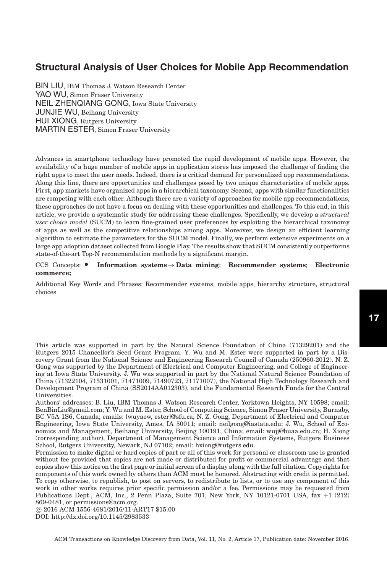BIN LIU, IBM Thomas J. Watson Research Center YAO WU, Simon Fraser University NEIL ZHENQIANG GONG, Iowa State University JUNJIE WU, Beihang University HUI XIONG, Rutgers University MARTIN ESTER, Simon Fraser University

Advances in smartphone technology have promoted the rapid development of mobile apps. However, the availability of a huge number of mobile apps in application stores has imposed the challenge of finding the right apps to meet the user needs. Indeed, there is a critical demand for personalized app recommendations. Along this line, there are opportunities and challenges posed by two unique characteristics of mobile apps. First, app markets have organized apps in a hierarchical taxonomy. Second, apps with similar functionalities are competing with each other. Although there are a variety of approaches for mobile app recommendations, these approaches do not have a focus on dealing with these opportunities and challenges. To this end, in this article, we provide a systematic study for addressing these challenges. Specifically, we develop a *structural user choice model* (SUCM) to learn fine-grained user preferences by exploiting the hierarchical taxonomy of apps as well as the competitive relationships among apps. Moreover, we design an efficient learning algorithm to estimate the parameters for the SUCM model. Finally, we perform extensive experiments on a large app adoption dataset collected from Google Play. The results show that SUCM consistently outperforms state-of-the-art Top-N recommendation methods by a significant margin.

#### $CCS$  Concepts:  $\bullet$  **Information systems**→**Data mining**; **Recommender systems**; **Electronic commerce;**

Additional Key Words and Phrases: Recommender systems, mobile apps, hierarchy structure, structural choices

-c 2016 ACM 1556-4681/2016/11-ART17 \$15.00

This article was supported in part by the Natural Science Foundation of China (71329201) and the Rutgers 2015 Chancellor's Seed Grant Program. Y. Wu and M. Ester were supported in part by a Discovery Grant from the National Science and Engineering Research Council of Canada (250960-2012). N. Z. Gong was supported by the Department of Electrical and Computer Engineering, and College of Engineering at Iowa State University. J. Wu was supported in part by the National Natural Science Foundation of China (71322104, 71531001, 71471009, 71490723, 71171007), the National High Technology Research and Development Program of China (SS2014AA012303), and the Fundamental Research Funds for the Central Universities.

Authors' addresses: B. Liu, IBM Thomas J. Watson Research Center, Yorktown Heights, NY 10598; email: BenBinLiu@gmail.com; Y. Wu and M. Ester, School of Computing Science, Simon Fraser University, Burnaby, BC V5A 1S6, Canada; emails: {wuyaow, ester}@sfu.ca; N. Z. Gong, Department of Electrical and Computer Engineering, Iowa State University, Ames, IA 50011; email: neilgong@iastate.edu; J. Wu, School of Economics and Management, Beihang University, Beijing 100191, China; email: wujj@buaa.edu.cn; H. Xiong (corresponding author), Department of Management Science and Information Systems, Rutgers Business School, Rutgers University, Newark, NJ 07102; email: hxiong@rutgers.edu.

Permission to make digital or hard copies of part or all of this work for personal or classroom use is granted without fee provided that copies are not made or distributed for profit or commercial advantage and that copies show this notice on the first page or initial screen of a display along with the full citation. Copyrights for components of this work owned by others than ACM must be honored. Abstracting with credit is permitted. To copy otherwise, to republish, to post on servers, to redistribute to lists, or to use any component of this work in other works requires prior specific permission and/or a fee. Permissions may be requested from Publications Dept., ACM, Inc., 2 Penn Plaza, Suite 701, New York, NY 10121-0701 USA, fax +1 (212) 869-0481, or permissions@acm.org.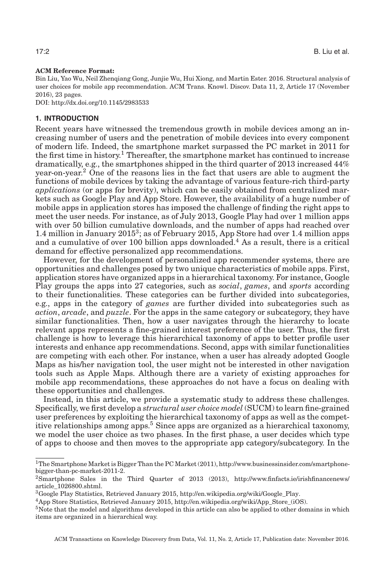#### **ACM Reference Format:**

Bin Liu, Yao Wu, Neil Zhenqiang Gong, Junjie Wu, Hui Xiong, and Martin Ester. 2016. Structural analysis of user choices for mobile app recommendation. ACM Trans. Knowl. Discov. Data 11, 2, Article 17 (November 2016), 23 pages.

DOI:<http://dx.doi.org/10.1145/2983533>

# **1. INTRODUCTION**

Recent years have witnessed the tremendous growth in mobile devices among an increasing number of users and the penetration of mobile devices into every component of modern life. Indeed, the smartphone market surpassed the PC market in 2011 for the first time in history.[1](#page-1-0) Thereafter, the smartphone market has continued to increase dramatically, e.g., the smartphones shipped in the third quarter of 2013 increased 44% year-on-year.[2](#page-1-1) One of the reasons lies in the fact that users are able to augment the functions of mobile devices by taking the advantage of various feature-rich third-party *applications* (or apps for brevity), which can be easily obtained from centralized markets such as Google Play and App Store. However, the availability of a huge number of mobile apps in application stores has imposed the challenge of finding the right apps to meet the user needs. For instance, as of July 2013, Google Play had over 1 million apps with over 50 billion cumulative downloads, and the number of apps had reached over 1.4 million in January 2015<sup>3</sup>; as of February 2015, App Store had over 1.4 million apps and a cumulative of over 100 billion apps downloaded.<sup>4</sup> As a result, there is a critical demand for effective personalized app recommendations.

However, for the development of personalized app recommender systems, there are opportunities and challenges posed by two unique characteristics of mobile apps. First, application stores have organized apps in a hierarchical taxonomy. For instance, Google Play groups the apps into 27 categories, such as *social*, *games*, and *sports* according to their functionalities. These categories can be further divided into subcategories, e.g., apps in the category of *games* are further divided into subcategories such as *action*, *arcade*, and *puzzle*. For the apps in the same category or subcategory, they have similar functionalities. Then, how a user navigates through the hierarchy to locate relevant apps represents a fine-grained interest preference of the user. Thus, the first challenge is how to leverage this hierarchical taxonomy of apps to better profile user interests and enhance app recommendations. Second, apps with similar functionalities are competing with each other. For instance, when a user has already adopted Google Maps as his/her navigation tool, the user might not be interested in other navigation tools such as Apple Maps. Although there are a variety of existing approaches for mobile app recommendations, these approaches do not have a focus on dealing with these opportunities and challenges.

Instead, in this article, we provide a systematic study to address these challenges. Specifically, we first develop a *structural user choice model* (SUCM) to learn fine-grained user preferences by exploiting the hierarchical taxonomy of apps as well as the competitive relationships among apps.<sup>5</sup> Since apps are organized as a hierarchical taxonomy, we model the user choice as two phases. In the first phase, a user decides which type of apps to choose and then moves to the appropriate app category/subcategory. In the

<span id="page-1-0"></span><sup>1</sup>The Smartphone Market is Bigger Than the PC Market (2011), [http://www.businessinsider.com/smartphone](http://www.businessinsider.com/smartphone-bigger-than-pc-market-2011-2)[bigger-than-pc-market-2011-2.](http://www.businessinsider.com/smartphone-bigger-than-pc-market-2011-2)

<span id="page-1-1"></span><sup>2</sup>Smartphone Sales in the Third Quarter of 2013 (2013), [http://www.finfacts.ie/irishfinancenews/](http://www.finfacts.ie/irishfinancenews/article1026800.shtml) [article\\_1026800.shtml.](http://www.finfacts.ie/irishfinancenews/article1026800.shtml)

<span id="page-1-2"></span><sup>3</sup>Google Play Statistics, Retrieved January 2015, [http://en.wikipedia.org/wiki/Google\\_Play.](http://en.wikipedia.org/wiki/Google_Play)

<span id="page-1-3"></span><sup>4</sup>App Store Statistics, Retrieved January 2015, [http://en.wikipedia.org/wiki/App\\_Store\\_\(iOS\).](http://en.wikipedia.org/wiki/App_Store_(iOS))

<span id="page-1-4"></span> $5$ Note that the model and algorithms developed in this article can also be applied to other domains in which items are organized in a hierarchical way.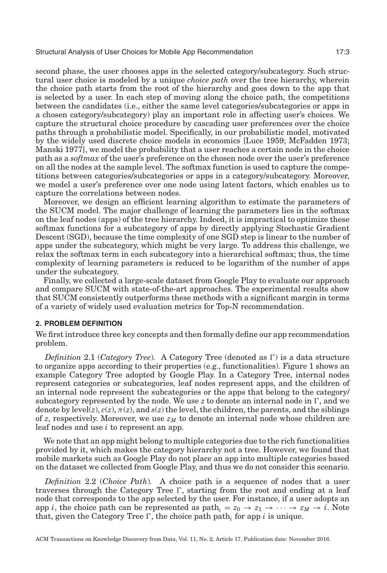second phase, the user chooses apps in the selected category/subcategory. Such structural user choice is modeled by a unique *choice path* over the tree hierarchy, wherein the choice path starts from the root of the hierarchy and goes down to the app that is selected by a user. In each step of moving along the choice path, the competitions between the candidates (i.e., either the same level categories/subcategories or apps in a chosen category/subcategory) play an important role in affecting user's choices. We capture the structural choice procedure by cascading user preferences over the choice paths through a probabilistic model. Specifically, in our probabilistic model, motivated by the widely used discrete choice models in economics [Luce [1959;](#page-21-0) McFadden [1973;](#page-21-1) Manski [1977\]](#page-21-2), we model the probability that a user reaches a certain node in the choice path as a *softmax* of the user's preference on the chosen node over the user's preference on all the nodes at the sample level. The softmax function is used to capture the competitions between categories/subcategories or apps in a category/subcategory. Moreover, we model a user's preference over one node using latent factors, which enables us to capture the correlations between nodes.

Moreover, we design an efficient learning algorithm to estimate the parameters of the SUCM model. The major challenge of learning the parameters lies in the softmax on the leaf nodes (apps) of the tree hierarchy. Indeed, it is impractical to optimize these softmax functions for a subcategory of apps by directly applying Stochastic Gradient Descent (SGD), because the time complexity of one SGD step is linear to the number of apps under the subcategory, which might be very large. To address this challenge, we relax the softmax term in each subcategory into a hierarchical softmax; thus, the time complexity of learning parameters is reduced to be logarithm of the number of apps under the subcategory.

Finally, we collected a large-scale dataset from Google Play to evaluate our approach and compare SUCM with state-of-the-art approaches. The experimental results show that SUCM consistently outperforms these methods with a significant margin in terms of a variety of widely used evaluation metrics for Top-N recommendation.

# **2. PROBLEM DEFINITION**

We first introduce three key concepts and then formally define our app recommendation problem.

*Definition* 2.1 (*Category Tree*). A Category Tree (denoted as  $\Gamma$ ) is a data structure to organize apps according to their properties (e.g., functionalities). Figure [1](#page-3-0) shows an example Category Tree adopted by Google Play. In a Category Tree, internal nodes represent categories or subcategories, leaf nodes represent apps, and the children of an internal node represent the subcategories or the apps that belong to the category/ subcategory represented by the node. We use  $z$  to denote an internal node in  $\Gamma$ , and we denote by level(*z*),  $c(z)$ ,  $\pi(z)$ , and  $s(z)$  the level, the children, the parents, and the siblings of *z*, respectively. Moreover, we use  $z_M$  to denote an internal node whose children are leaf nodes and use *i* to represent an app.

We note that an app might belong to multiple categories due to the rich functionalities provided by it, which makes the category hierarchy not a tree. However, we found that mobile markets such as Google Play do not place an app into multiple categories based on the dataset we collected from Google Play, and thus we do not consider this scenario.

*Definition* 2.2 (*Choice Path*)*.* A choice path is a sequence of nodes that a user traverses through the Category Tree  $\Gamma$ , starting from the root and ending at a leaf node that corresponds to the app selected by the user. For instance, if a user adopts an app *i*, the choice path can be represented as path<sub>i</sub> =  $z_0 \rightarrow z_1 \rightarrow \cdots \rightarrow z_M \rightarrow i$ . Note that, given the Category Tree  $\Gamma$ , the choice path path<sub>i</sub> for app *i* is unique.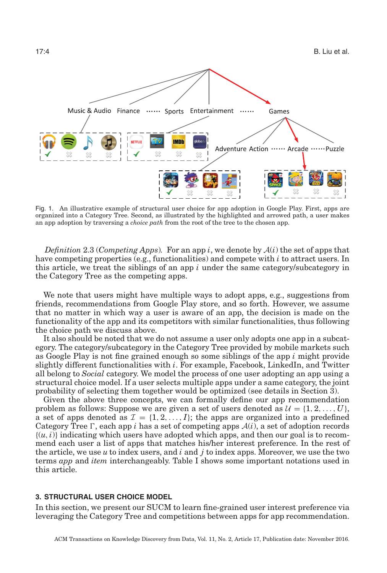<span id="page-3-0"></span>

Fig. 1. An illustrative example of structural user choice for app adoption in Google Play. First, apps are organized into a Category Tree. Second, as illustrated by the highlighted and arrowed path, a user makes an app adoption by traversing a *choice path* from the root of the tree to the chosen app.

*Definition* 2.3 (*Competing Apps*). For an app *i*, we denote by  $A(i)$  the set of apps that have competing properties (e.g., functionalities) and compete with *i* to attract users. In this article, we treat the siblings of an app *i* under the same category/subcategory in the Category Tree as the competing apps.

We note that users might have multiple ways to adopt apps, e.g., suggestions from friends, recommendations from Google Play store, and so forth. However, we assume that no matter in which way a user is aware of an app, the decision is made on the functionality of the app and its competitors with similar functionalities, thus following the choice path we discuss above.

It also should be noted that we do not assume a user only adopts one app in a subcategory. The category/subcategory in the Category Tree provided by mobile markets such as Google Play is not fine grained enough so some siblings of the app *i* might provide slightly different functionalities with *i*. For example, Facebook, LinkedIn, and Twitter all belong to *Social* category. We model the process of one user adopting an app using a structural choice model. If a user selects multiple apps under a same category, the joint probability of selecting them together would be optimized (see details in Section [3\)](#page-3-1).

Given the above three concepts, we can formally define our app recommendation problem as follows: Suppose we are given a set of users denoted as  $\mathcal{U} = \{1, 2, \ldots, U\}$ , a set of apps denoted as  $\mathcal{I} = \{1, 2, ..., I\}$ ; the apps are organized into a predefined Category Tree  $\Gamma$ , each app *i* has a set of competing apps  $A(i)$ , a set of adoption records  $\{(u, i)\}\$  indicating which users have adopted which apps, and then our goal is to recommend each user a list of apps that matches his/her interest preference. In the rest of the article, we use *u* to index users, and *i* and *j* to index apps. Moreover, we use the two terms *app* and *item* interchangeably. Table [I](#page-4-0) shows some important notations used in this article.

### **3. STRUCTURAL USER CHOICE MODEL**

<span id="page-3-1"></span>In this section, we present our SUCM to learn fine-grained user interest preference via leveraging the Category Tree and competitions between apps for app recommendation.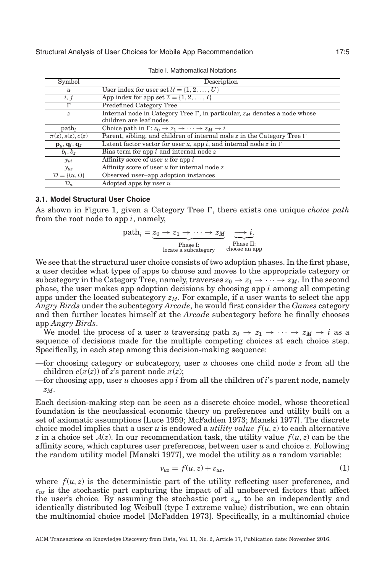<span id="page-4-0"></span>

| Symbol                                     | Description                                                                                                    |  |  |  |
|--------------------------------------------|----------------------------------------------------------------------------------------------------------------|--|--|--|
| $\boldsymbol{u}$                           | User index for user set $\mathcal{U} = \{1, 2, , U\}$                                                          |  |  |  |
| i, j                                       | App index for app set $\mathcal{I} = \{1, 2, , I\}$                                                            |  |  |  |
| г                                          | <b>Predefined Category Tree</b>                                                                                |  |  |  |
| $\overline{z}$                             | Internal node in Category Tree $\Gamma$ , in particular, $z_M$ denotes a node whose<br>children are leaf nodes |  |  |  |
| $path_i$                                   | Choice path in $\Gamma: z_0 \to z_1 \to \cdots \to z_M \to i$                                                  |  |  |  |
| $\pi(z)$ , $s(z)$ , $c(z)$                 | Parent, sibling, and children of internal node $z$ in the Category Tree $\Gamma$                               |  |  |  |
| $\mathbf{p}_u, \mathbf{q}_i, \mathbf{q}_z$ | Latent factor vector for user u, app i, and internal node z in $\Gamma$                                        |  |  |  |
| $b_i$ , $b_z$                              | Bias term for app $i$ and internal node $z$                                                                    |  |  |  |
| $y_{ui}$                                   | Affinity score of user $u$ for app $i$                                                                         |  |  |  |
| $y_{uz}$                                   | Affinity score of user $u$ for internal node $z$                                                               |  |  |  |
| $\mathcal{D} = \{(u, i)\}\$                | Observed user-app adoption instances                                                                           |  |  |  |
| $\mathcal{D}_u$                            | Adopted apps by user $u$                                                                                       |  |  |  |

Table I. Mathematical Notations

### **3.1. Model Structural User Choice**

As shown in Figure [1,](#page-3-0) given a Category Tree  $\Gamma$ , there exists one unique *choice path* from the root node to app *i*, namely,

$$
\text{path}_i = \underbrace{z_0 \to z_1 \to \cdots \to z_M}_{\text{Dbase I:}} \underbrace{\longrightarrow i}_{\text{Phase II:}} \underbrace{z_1}_{\text{phase II:}}.
$$

We see that the structural user choice consists of two adoption phases. In the first phase, a user decides what types of apps to choose and moves to the appropriate category or subcategory in the Category Tree, namely, traverses  $z_0 \to z_1 \to \cdots \to z_M$ . In the second phase, the user makes app adoption decisions by choosing app *i* among all competing apps under the located subcategory  $z_M$ . For example, if a user wants to select the app *Angry Birds* under the subcategory *Arcade*, he would first consider the *Games* category and then further locates himself at the *Arcade* subcategory before he finally chooses app *Angry Birds*.

We model the process of a user *u* traversing path  $z_0 \rightarrow z_1 \rightarrow \cdots \rightarrow z_M \rightarrow i$  as a sequence of decisions made for the multiple competing choices at each choice step. Specifically, in each step among this decision-making sequence:

- —for choosing category or subcategory, user *u* chooses one child node *z* from all the children  $c(\pi(z))$  of *z*'s parent node  $\pi(z)$ ;
- —for choosing app, user *u* chooses app *i* from all the children of *i*'s parent node, namely *zM*.

Each decision-making step can be seen as a discrete choice model, whose theoretical foundation is the neoclassical economic theory on preferences and utility built on a set of axiomatic assumptions [Luce [1959;](#page-21-0) McFadden [1973;](#page-21-1) Manski [1977\]](#page-21-2). The discrete choice model implies that a user *u* is endowed a *utility value*  $f(u, z)$  to each alternative *z* in a choice set  $A(z)$ . In our recommendation task, the utility value  $f(u, z)$  can be the affinity score, which captures user preferences, between user *u* and choice *z*. Following the random utility model [Manski [1977\]](#page-21-2), we model the utility as a random variable:

$$
v_{uz} = f(u, z) + \varepsilon_{uz},\tag{1}
$$

where  $f(u, z)$  is the deterministic part of the utility reflecting user preference, and  $\varepsilon_{uz}$  is the stochastic part capturing the impact of all unobserved factors that affect the user's choice. By assuming the stochastic part  $\varepsilon_{\mu z}$  to be an independently and identically distributed log Weibull (type I extreme value) distribution, we can obtain the multinomial choice model [McFadden [1973\]](#page-21-1). Specifically, in a multinomial choice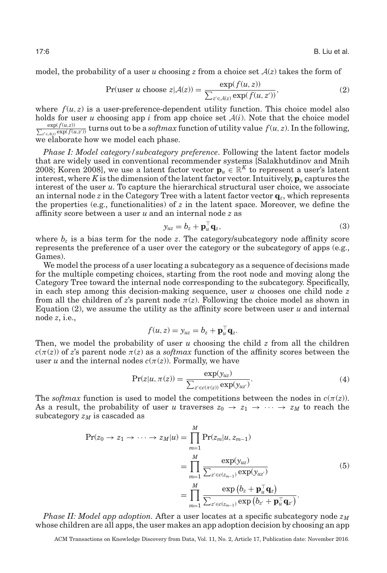model, the probability of a user *u* choosing *z* from a choice set  $A(z)$  takes the form of

$$
\Pr(\text{user } u \text{ choose } z | \mathcal{A}(z)) = \frac{\exp(f(u, z))}{\sum_{z' \in \mathcal{A}(z)} \exp(f(u, z'))},\tag{2}
$$

where  $f(u, z)$  is a user-preference-dependent utility function. This choice model also holds for user *u* choosing app *i* from app choice set  $A(i)$ . Note that the choice model  $\frac{\exp(f(u,z))}{\sum_{z' \in A(z)} \exp(f(u,z'))}$  turns out to be a *softmax* function of utility value  $f(u, z)$ . In the following, we elaborate how we model each phase.

*Phase I: Model category/subcategory preference*. Following the latent factor models that are widely used in conventional recommender systems [Salakhutdinov and Mnih [2008;](#page-21-3) Koren [2008\]](#page-21-4), we use a latent factor vector  $\mathbf{p}_u \in \mathbb{R}^K$  to represent a user's latent interest, where  $K$  is the dimension of the latent factor vector. Intuitively,  $\mathbf{p}_u$  captures the interest of the user *u*. To capture the hierarchical structural user choice, we associate an internal node *z* in the Category Tree with a latent factor vector  $\mathbf{q}_z$ , which represents the properties (e.g., functionalities) of  $z$  in the latent space. Moreover, we define the affinity score between a user *u* and an internal node *z* as

<span id="page-5-0"></span>
$$
y_{uz} = b_z + \mathbf{p}_u^{\top} \mathbf{q}_z,\tag{3}
$$

where  $b_z$  is a bias term for the node  $z$ . The category/subcategory node affinity score represents the preference of a user over the category or the subcategory of apps (e.g., Games).

We model the process of a user locating a subcategory as a sequence of decisions made for the multiple competing choices, starting from the root node and moving along the Category Tree toward the internal node corresponding to the subcategory. Specifically, in each step among this decision-making sequence, user *u* chooses one child node *z* from all the children of  $z$ 's parent node  $\pi(z)$ . Following the choice model as shown in Equation  $(2)$ , we assume the utility as the affinity score between user  $u$  and internal node *z*, i.e.,

$$
f(u, z) = y_{uz} = b_z + \mathbf{p}_u^{\top} \mathbf{q}_z.
$$

Then, we model the probability of user *u* choosing the child *z* from all the children  $c(\pi(z))$  of *z*'s parent node  $\pi(z)$  as a *softmax* function of the affinity scores between the user *u* and the internal nodes  $c(\pi(z))$ . Formally, we have

$$
\Pr(z|u, \pi(z)) = \frac{\exp(y_{uz})}{\sum_{z' \in c(\pi(z))} \exp(y_{uz'})}.
$$
\n(4)

The *softmax* function is used to model the competitions between the nodes in  $c(\pi(z))$ . As a result, the probability of user *u* traverses  $z_0 \rightarrow z_1 \rightarrow \cdots \rightarrow z_M$  to reach the subcategory  $z_M$  is cascaded as

$$
\Pr(z_0 \to z_1 \to \cdots \to z_M | u) = \prod_{m=1}^M \Pr(z_m | u, z_{m-1})
$$
  
= 
$$
\prod_{m=1}^M \frac{\exp(y_{uz})}{\sum_{z' \in c(z_{m-1})} \exp(y_{uz'})}
$$
  
= 
$$
\prod_{m=1}^M \frac{\exp(b_z + \mathbf{p}_u^{\top} \mathbf{q}_z)}{\sum_{z' \in c(z_{m-1})} \exp(b_{z'} + \mathbf{p}_u^{\top} \mathbf{q}_{z'})}.
$$
 (5)

*Phase II: Model app adoption.* After a user locates at a specific subcategory node *zM* whose children are all apps, the user makes an app adoption decision by choosing an app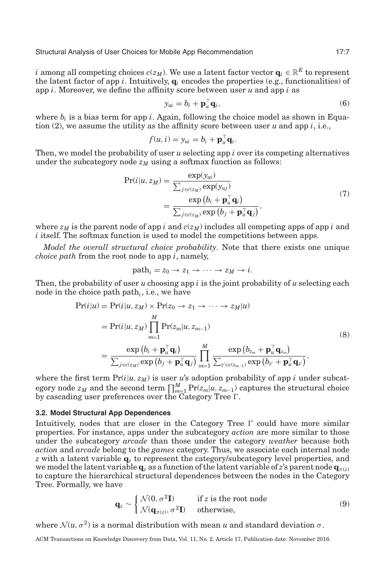*i* among all competing choices  $c(z_M)$ . We use a latent factor vector  $\mathbf{q}_i \in \mathbb{R}^K$  to represent the latent factor of app *i*. Intuitively,  $q_i$  encodes the properties (e.g., functionalities) of app *i*. Moreover, we define the affinity score between user *u* and app *i* as

$$
y_{ui} = b_i + \mathbf{p}_u^{\top} \mathbf{q}_i,\tag{6}
$$

where  $b_i$  is a bias term for app  $i$ . Again, following the choice model as shown in Equa-tion [\(2\)](#page-5-0), we assume the utility as the affinity score between user  $u$  and app  $i$ , i.e.,

$$
f(u, i) = y_{ui} = b_i + \mathbf{p}_u^{\top} \mathbf{q}_i.
$$

Then, we model the probability of user *u* selecting app *i* over its competing alternatives under the subcategory node  $z_M$  using a softmax function as follows:

$$
Pr(i|u, z_M) = \frac{\exp(y_{ui})}{\sum_{j \in c(z_M)} \exp(y_{uj})}
$$
  
= 
$$
\frac{\exp(b_i + \mathbf{p}_u^{\top} \mathbf{q}_i)}{\sum_{j \in c(z_M)} \exp(b_j + \mathbf{p}_u^{\top} \mathbf{q}_j)},
$$
 (7)

where  $z_M$  is the parent node of app *i* and  $c(z_M)$  includes all competing apps of app *i* and *i* itself. The softmax function is used to model the competitions between apps.

*Model the overall structural choice probability*. Note that there exists one unique *choice path* from the root node to app *i*, namely,

$$
\text{path}_i = z_0 \to z_1 \to \cdots \to z_M \to i.
$$

Then, the probability of user *u* choosing app *i* is the joint probability of *u* selecting each node in the choice path path*i*, i.e., we have

$$
Pr(i|u) = Pr(i|u, z_M) \times Pr(z_0 \to z_1 \to \cdots \to z_M|u)
$$
  
= 
$$
Pr(i|u, z_M) \prod_{m=1}^{M} Pr(z_m|u, z_{m-1})
$$
  
= 
$$
\frac{\exp(b_i + \mathbf{p}_u^{\top} \mathbf{q}_i)}{\sum_{j \in c(z_M)} \exp(b_j + \mathbf{p}_u^{\top} \mathbf{q}_j)} \prod_{m=1}^{M} \frac{\exp(b_{z_m} + \mathbf{p}_u^{\top} \mathbf{q}_{z_m})}{\sum_{z' \in c(z_{m-1})} \exp(b_{z'} + \mathbf{p}_u^{\top} \mathbf{q}_{z'})},
$$
(8)

where the first term  $Pr(i|u, z_M)$  is user *u*'s adoption probability of app *i* under subcategory node  $z_M$  and the second term  $\prod_{m=1}^M \Pr(z_m | u, z_{m-1})$  captures the structural choice by cascading user preferences over the Category Tree  $\Gamma$ .

# **3.2. Model Structural App Dependences**

Intuitively, nodes that are closer in the Category Tree  $\Gamma$  could have more similar properties. For instance, apps under the subcategory *action* are more similar to those under the subcategory *arcade* than those under the category *weather* because both *action* and *arcade* belong to the *games* category. Thus, we associate each internal node *z* with a latent variable **q***<sup>z</sup>* to represent the category/subcategory level properties, and we model the latent variable  $\mathbf{q}_z$  as a function of the latent variable of *z*'s parent node  $\mathbf{q}_{\pi(z)}$ to capture the hierarchical structural dependences between the nodes in the Category Tree. Formally, we have

$$
\mathbf{q}_z \sim \begin{cases} \mathcal{N}(0, \sigma^2 \mathbf{I}) & \text{if } z \text{ is the root node} \\ \mathcal{N}(\mathbf{q}_{\pi(z)}, \sigma^2 \mathbf{I}) & \text{otherwise,} \end{cases}
$$
(9)

where  $\mathcal{N}(u, \sigma^2)$  is a normal distribution with mean *u* and standard deviation  $\sigma$ .

ACM Transactions on Knowledge Discovery from Data, Vol. 11, No. 2, Article 17, Publication date: November 2016.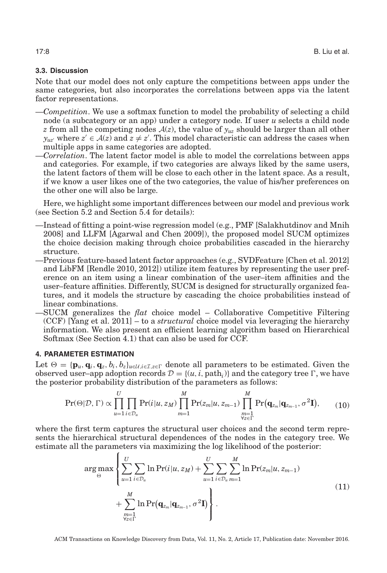# **3.3. Discussion**

Note that our model does not only capture the competitions between apps under the same categories, but also incorporates the correlations between apps via the latent factor representations.

- —*Competition*. We use a softmax function to model the probability of selecting a child node (a subcategory or an app) under a category node. If user *u* selects a child node *z* from all the competing nodes  $A(z)$ , the value of  $y_{uz}$  should be larger than all other *y<sub>uz'</sub>* where  $z' \in A(z)$  and  $z \neq z'$ . This model characteristic can address the cases when multiple apps in same categories are adopted.
- —*Correlation*. The latent factor model is able to model the correlations between apps and categories. For example, if two categories are always liked by the same users, the latent factors of them will be close to each other in the latent space. As a result, if we know a user likes one of the two categories, the value of his/her preferences on the other one will also be large.

Here, we highlight some important differences between our model and previous work (see Section [5.2](#page-13-0) and Section [5.4](#page-16-0) for details):

- —Instead of fitting a point-wise regression model (e.g., PMF [Salakhutdinov and Mnih [2008\]](#page-21-3) and LLFM [Agarwal and Chen [2009\]](#page-20-0)), the proposed model SUCM optimizes the choice decision making through choice probabilities cascaded in the hierarchy structure.
- —Previous feature-based latent factor approaches (e.g., SVDFeature [Chen et al. [2012\]](#page-20-1) and LibFM [Rendle [2010,](#page-21-5) [2012\]](#page-21-6)) utilize item features by representing the user preference on an item using a linear combination of the user–item affinities and the user–feature affinities. Differently, SUCM is designed for structurally organized features, and it models the structure by cascading the choice probabilities instead of linear combinations.
- —SUCM generalizes the *flat* choice model Collaborative Competitive Filtering (CCF) [Yang et al. [2011\]](#page-22-0) – to a *structural* choice model via leveraging the hierarchy information. We also present an efficient learning algorithm based on Hierarchical Softmax (See Section [4.1\)](#page-8-0) that can also be used for CCF.

# **4. PARAMETER ESTIMATION**

Let  $\Theta = {\{\mathbf{p}_u, \mathbf{q}_i, \mathbf{q}_z, b_i, b_z\}_{u \in \mathcal{U}, i \in \mathcal{I}, z \in \Gamma}}$  denote all parameters to be estimated. Given the observed user–app adoption records  $\mathcal{D} = \{(u, i, path_i)\}\$ and the category tree  $\Gamma$ , we have the posterior probability distribution of the parameters as follows:

$$
\Pr(\Theta|\mathcal{D}, \Gamma) \propto \prod_{u=1}^{U} \prod_{i \in \mathcal{D}_u} \Pr(i|u, z_M) \prod_{m=1}^{M} \Pr(z_m|u, z_{m-1}) \prod_{\substack{m=1 \\ \forall z \in \Gamma}}^{M} \Pr(\mathbf{q}_{z_m}|\mathbf{q}_{z_{m-1}}, \sigma^2 \mathbf{I}), \qquad (10)
$$

where the first term captures the structural user choices and the second term represents the hierarchical structural dependences of the nodes in the category tree. We estimate all the parameters via maximizing the log likelihood of the posterior:

<span id="page-7-0"></span>
$$
\arg\max_{\Theta} \left\{ \sum_{u=1}^{U} \sum_{i \in \mathcal{D}_u} \ln \Pr(i|u, z_M) + \sum_{u=1}^{U} \sum_{i \in \mathcal{D}_u} \sum_{m=1}^{M} \ln \Pr(z_m|u, z_{m-1}) + \sum_{\substack{m=1 \ y_{z} \in \Gamma}}^{M} \ln \Pr(\mathbf{q}_{z_m}|\mathbf{q}_{z_{m-1}}, \sigma^2 \mathbf{I}) \right\}.
$$
\n(11)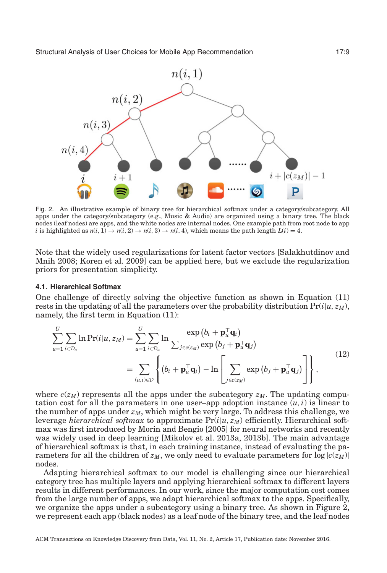<span id="page-8-1"></span>

Fig. 2. An illustrative example of binary tree for hierarchical softmax under a category/subcategory. All apps under the category/subcategory (e.g., Music & Audio) are organized using a binary tree. The black nodes (leaf nodes) are apps, and the white nodes are internal nodes. One example path from root node to app *i* is highlighted as  $n(i, 1) \rightarrow n(i, 2) \rightarrow n(i, 3) \rightarrow n(i, 4)$ , which means the path length  $L(i) = 4$ .

Note that the widely used regularizations for latent factor vectors [Salakhutdinov and Mnih [2008;](#page-21-3) Koren et al. [2009\]](#page-21-7) can be applied here, but we exclude the regularization priors for presentation simplicity.

### **4.1. Hierarchical Softmax**

One challenge of directly solving the objective function as shown in Equation [\(11\)](#page-7-0) rests in the updating of all the parameters over the probability distribution  $Pr(i|u, z_M)$ , namely, the first term in Equation [\(11\)](#page-7-0):

<span id="page-8-2"></span><span id="page-8-0"></span>
$$
\sum_{u=1}^{U} \sum_{i \in \mathcal{D}_u} \ln \Pr(i|u, z_M) = \sum_{u=1}^{U} \sum_{i \in \mathcal{D}_u} \ln \frac{\exp (b_i + \mathbf{p}_u^{\top} \mathbf{q}_i)}{\sum_{j \in c(z_M)} \exp (b_j + \mathbf{p}_u^{\top} \mathbf{q}_j)}
$$
  
= 
$$
\sum_{(u,i) \in \mathcal{D}} \left\{ (b_i + \mathbf{p}_u^{\top} \mathbf{q}_i) - \ln \left[ \sum_{j \in c(z_M)} \exp (b_j + \mathbf{p}_u^{\top} \mathbf{q}_j) \right] \right\},
$$
(12)

where  $c(z_M)$  represents all the apps under the subcategory  $z_M$ . The updating computation cost for all the parameters in one user–app adoption instance  $(u, i)$  is linear to the number of apps under  $z_M$ , which might be very large. To address this challenge, we leverage *hierarchical softmax* to approximate  $Pr(i|u, z_M)$  efficiently. Hierarchical softmax was first introduced by Morin and Bengio [\[2005\]](#page-21-8) for neural networks and recently was widely used in deep learning [Mikolov et al. [2013a,](#page-21-9) [2013b\]](#page-21-10). The main advantage of hierarchical softmax is that, in each training instance, instead of evaluating the parameters for all the children of  $z_M$ , we only need to evaluate parameters for  $\log |c(z_M)|$ nodes.

Adapting hierarchical softmax to our model is challenging since our hierarchical category tree has multiple layers and applying hierarchical softmax to different layers results in different performances. In our work, since the major computation cost comes from the large number of apps, we adapt hierarchical softmax to the apps. Specifically, we organize the apps under a subcategory using a binary tree. As shown in Figure [2,](#page-8-1) we represent each app (black nodes) as a leaf node of the binary tree, and the leaf nodes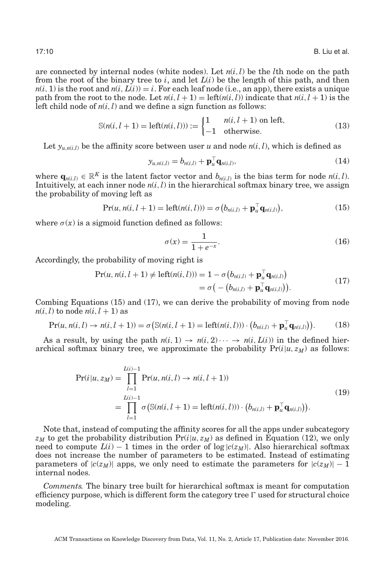are connected by internal nodes (white nodes). Let  $n(i, l)$  be the *l*th node on the path from the root of the binary tree to  $i$ , and let  $L(i)$  be the length of this path, and then  $n(i, 1)$  is the root and  $n(i, L(i)) = i$ . For each leaf node (i.e., an app), there exists a unique path from the root to the node. Let  $n(i, l + 1) = \text{left}(n(i, l))$  indicate that  $n(i, l + 1)$  is the left child node of  $n(i, l)$  and we define a sign function as follows:

$$
\mathbb{S}(n(i, l+1)) = \text{left}(n(i, l))) := \begin{cases} 1 & n(i, l+1) \text{ on left,} \\ -1 & \text{otherwise.} \end{cases}
$$
(13)

Let  $y_{u,n(i)}$  be the affinity score between user *u* and node  $n(i, l)$ , which is defined as

$$
y_{u,n(i,l)} = b_{n(i,l)} + \mathbf{p}_u^{\top} \mathbf{q}_{n(i,l)},
$$
\n(14)

where  $\mathbf{q}_{n(i,l)} \in \mathbb{R}^K$  is the latent factor vector and  $b_{n(i,l)}$  is the bias term for node  $n(i,l)$ . Intuitively, at each inner node  $n(i, l)$  in the hierarchical softmax binary tree, we assign the probability of moving left as

$$
\Pr(u, n(i, l+1) = \operatorname{left}(n(i, l))) = \sigma\big(b_{n(i, l)} + \mathbf{p}_u^{\top} \mathbf{q}_{n(i, l)}\big),\tag{15}
$$

where  $\sigma(x)$  is a sigmoid function defined as follows:

<span id="page-9-1"></span><span id="page-9-0"></span>
$$
\sigma(x) = \frac{1}{1 + e^{-x}}.\tag{16}
$$

Accordingly, the probability of moving right is

$$
\Pr(u, n(i, l+1) \neq \text{left}(n(i, l))) = 1 - \sigma(b_{n(i, l)} + \mathbf{p}_u^{\top} \mathbf{q}_{n(i, l)})
$$
  
=  $\sigma\big(-\big(b_{n(i, l)} + \mathbf{p}_u^{\top} \mathbf{q}_{n(i, l)}\big)\big).$  (17)

Combing Equations [\(15\)](#page-9-0) and [\(17\)](#page-9-1), we can derive the probability of moving from node  $n(i, l)$  to node  $n(i, l + 1)$  as

$$
\Pr(u, n(i, l) \to n(i, l+1)) = \sigma\left(\mathbb{S}(n(i, l+1)) = \text{left}(n(i, l))\right) \cdot \left(b_{n(i, l)} + \mathbf{p}_u^{\top} \mathbf{q}_{n(i, l)}\right)\right). \tag{18}
$$

As a result, by using the path  $n(i, 1) \rightarrow n(i, 2) \cdots \rightarrow n(i, L(i))$  in the defined hierarchical softmax binary tree, we approximate the probability  $Pr(i|u, z_M)$  as follows:

$$
\Pr(i|u, z_M) = \prod_{l=1}^{L(i)-1} \Pr(u, n(i, l) \to n(i, l+1))
$$
\n
$$
= \prod_{l=1}^{L(i)-1} \sigma(\mathbb{S}(n(i, l+1)) = \text{left}(n(i, l))) \cdot (b_{n(i,l)} + \mathbf{p}_u^{\top} \mathbf{q}_{n(i,l)})).
$$
\n(19)

Note that, instead of computing the affinity scores for all the apps under subcategory  $z_M$  to get the probability distribution  $Pr(i|u, z_M)$  as defined in Equation [\(12\)](#page-8-2), we only need to compute  $L(i) - 1$  times in the order of log  $|c(z_M)|$ . Also hierarchical softmax does not increase the number of parameters to be estimated. Instead of estimating parameters of  $|c(z_M)|$  apps, we only need to estimate the parameters for  $|c(z_M)| - 1$ internal nodes.

*Comments.* The binary tree built for hierarchical softmax is meant for computation efficiency purpose, which is different form the category tree  $\Gamma$  used for structural choice modeling.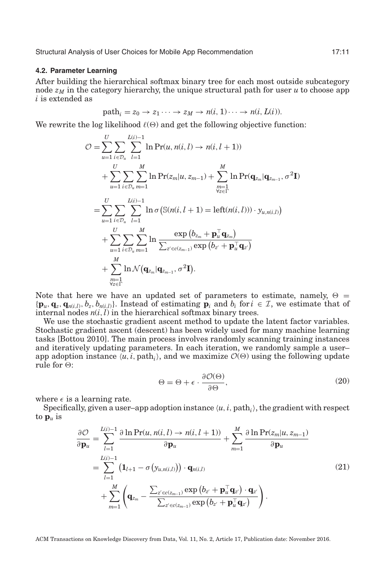# **4.2. Parameter Learning**

 $U$ 

After building the hierarchical softmax binary tree for each most outside subcategory node  $z_M$  in the category hierarchy, the unique structural path for user  $u$  to choose app *i* is extended as

$$
path_i = z_0 \to z_1 \cdots \to z_M \to n(i, 1) \cdots \to n(i, L(i)).
$$

We rewrite the log likelihood  $\ell(\Theta)$  and get the following objective function:

$$
\mathcal{O} = \sum_{u=1}^{U} \sum_{i \in \mathcal{D}_u} \sum_{l=1}^{L(i)-1} \ln \Pr(u, n(i, l) \to n(i, l+1))
$$
  
+ 
$$
\sum_{u=1}^{U} \sum_{i \in \mathcal{D}_u} \sum_{m=1}^{M} \ln \Pr(z_m | u, z_{m-1}) + \sum_{\substack{m=1 \\ \forall z \in \Gamma}} \ln \Pr(\mathbf{q}_{z_m} | \mathbf{q}_{z_{m-1}}, \sigma^2 \mathbf{I})
$$
  
= 
$$
\sum_{u=1}^{U} \sum_{i \in \mathcal{D}_u} \sum_{l=1}^{L(i)-1} \ln \sigma \left( \mathbb{S}(n(i, l+1) = \text{left}(n(i, l))) \cdot y_{u, n(i, l)} \right) + \sum_{u=1}^{U} \sum_{i \in \mathcal{D}_u} \sum_{m=1}^{M} \ln \frac{\exp (b_{z_m} + \mathbf{p}_{u}^{\top} \mathbf{q}_{z_m})}{\sum_{z' \in c(z_{m-1})} \exp (b_{z'} + \mathbf{p}_{u}^{\top} \mathbf{q}_{z})} + \sum_{\substack{m=1 \\ \forall z \in \Gamma}} \ln \mathcal{N}(\mathbf{q}_{z_m} | \mathbf{q}_{z_{m-1}}, \sigma^2 \mathbf{I}).
$$

Note that here we have an updated set of parameters to estimate, namely,  $\Theta =$  ${\bf p}_i$ ,  ${\bf q}_z$ ,  ${\bf q}_{n(i,l)}, b_z, b_{n(i,l)}\}$ . Instead of estimating  ${\bf p}_i$  and  $b_i$  for  $i \in \mathcal{I}$ , we estimate that of internal nodes  $n(i, l)$  in the hierarchical softmax binary trees.

We use the stochastic gradient ascent method to update the latent factor variables. Stochastic gradient ascent (descent) has been widely used for many machine learning tasks [Bottou [2010\]](#page-20-2). The main process involves randomly scanning training instances and iteratively updating parameters. In each iteration, we randomly sample a user– app adoption instance  $\langle u, i, \text{path}_i \rangle$ , and we maximize  $\mathcal{O}(\Theta)$  using the following update rule for  $\Theta$ :

$$
\Theta = \Theta + \epsilon \cdot \frac{\partial \mathcal{O}(\Theta)}{\partial \Theta},\tag{20}
$$

where  $\epsilon$  is a learning rate.

Specifically, given a user–app adoption instance  $\langle u, i, \text{path}_i \rangle$ , the gradient with respect to  $\mathbf{p}_u$  is

$$
\frac{\partial \mathcal{O}}{\partial \mathbf{p}_{u}} = \sum_{l=1}^{L(i)-1} \frac{\partial \ln \Pr(u, n(i, l) \to n(i, l+1))}{\partial \mathbf{p}_{u}} + \sum_{m=1}^{M} \frac{\partial \ln \Pr(z_{m}|u, z_{m-1})}{\partial \mathbf{p}_{u}}
$$
\n
$$
= \sum_{l=1}^{L(i)-1} \left( \mathbf{1}_{l+1} - \sigma(y_{u,n(i,l)}) \right) \cdot \mathbf{q}_{n(i,l)} + \sum_{m=1}^{M} \left( \mathbf{q}_{z_{m}} - \frac{\sum_{z' \in c(z_{m-1})} \exp \left( b_{z'} + \mathbf{p}_{u}^{\top} \mathbf{q}_{z'} \right) \cdot \mathbf{q}_{z'}}{\sum_{z' \in c(z_{m-1})} \exp \left( b_{z'} + \mathbf{p}_{u}^{\top} \mathbf{q}_{z'} \right)} \right). \tag{21}
$$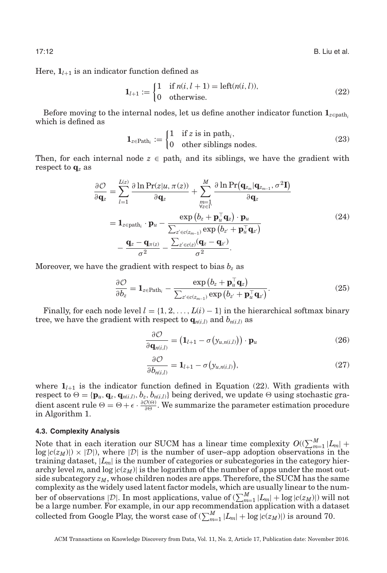Here,  $\mathbf{1}_{l+1}$  is an indicator function defined as

<span id="page-11-0"></span>
$$
\mathbf{1}_{l+1} := \begin{cases} 1 & \text{if } n(i, l+1) = \text{left}(n(i, l)), \\ 0 & \text{otherwise.} \end{cases} \tag{22}
$$

Before moving to the internal nodes, let us define another indicator function  $\mathbf{1}_{z \in \text{path}}$ which is defined as

$$
\mathbf{1}_{z \in \text{Path}_i} := \begin{cases} 1 & \text{if } z \text{ is in path}_i, \\ 0 & \text{other siblings nodes.} \end{cases} \tag{23}
$$

Then, for each internal node  $z \in \text{path}_i$  and its siblings, we have the gradient with respect to **q***<sup>z</sup>* as

$$
\frac{\partial \mathcal{O}}{\partial \mathbf{q}_z} = \sum_{l=1}^{L(z)} \frac{\partial \ln \Pr(z|u, \pi(z))}{\partial \mathbf{q}_z} + \sum_{\substack{m=1 \ \forall z \in \Gamma}}^M \frac{\partial \ln \Pr(\mathbf{q}_{z_m}|\mathbf{q}_{z_{m-1}}, \sigma^2 \mathbf{I})}{\partial \mathbf{q}_z}
$$
\n
$$
= \mathbf{1}_{z \in \text{path}_i} \cdot \mathbf{p}_u - \frac{\exp (b_z + \mathbf{p}_u^{\top} \mathbf{q}_z) \cdot \mathbf{p}_u}{\sum_{z' \in c(z_{m-1})} \exp (b_z + \mathbf{p}_u^{\top} \mathbf{q}_z)} - \frac{\mathbf{q}_z - \mathbf{q}_{\pi(z)}}{\sigma^2} - \frac{\sum_{z' \in c(z)} (\mathbf{q}_z - \mathbf{q}_{z'})}{\sigma^2}.
$$
\n(24)

Moreover, we have the gradient with respect to bias  $b_z$  as

$$
\frac{\partial \mathcal{O}}{\partial b_z} = \mathbf{1}_{z \in \text{Path}_i} - \frac{\exp\left(b_z + \mathbf{p}_u^{\top} \mathbf{q}_z\right)}{\sum_{z' \in c(z_{m-1})} \exp\left(b_{z'} + \mathbf{p}_u^{\top} \mathbf{q}_{z'}\right)}.
$$
(25)

Finally, for each node level  $l = \{1, 2, ..., L(i) - 1\}$  in the hierarchical softmax binary tree, we have the gradient with respect to  $\mathbf{q}_{n(i,l)}$  and  $b_{n(i,l)}$  as

$$
\frac{\partial \mathcal{O}}{\partial \mathbf{q}_{n(i,l)}} = (\mathbf{1}_{l+1} - \sigma(y_{u,n(i,l)})) \cdot \mathbf{p}_u
$$
\n(26)

$$
\frac{\partial \mathcal{O}}{\partial b_{n(i,l)}} = \mathbf{1}_{l+1} - \sigma(y_{u,n(i,l)}),\tag{27}
$$

where  $\mathbf{1}_{l+1}$  is the indicator function defined in Equation [\(22\)](#page-11-0). With gradients with respect to  $\Theta = {\bf p}_u, {\bf q}_z, {\bf q}_{n(i,l)}, b_z, b_{n(i,l)}$  being derived, we update  $\Theta$  using stochastic gradient ascent rule  $\Theta = \Theta + \epsilon \cdot \frac{\partial \mathcal{O}(\Theta)}{\partial \Theta}$ . We summarize the parameter estimation procedure in Algorithm 1.

#### **4.3. Complexity Analysis**

Note that in each iteration our SUCM has a linear time complexity  $O((\sum_{m=1}^{M} |L_m| +$  $log |c(z_M)| \times |D|$ , where  $|D|$  is the number of user–app adoption observations in the training dataset,  $|L_m|$  is the number of categories or subcategories in the category hierarchy level *m*, and  $\log |c(z_M)|$  is the logarithm of the number of apps under the most outside subcategory  $z_M$ , whose children nodes are apps. Therefore, the SUCM has the same complexity as the widely used latent factor models, which are usually linear to the number of observations  $|\mathcal{D}|$ . In most applications, value of  $(\sum_{m=1}^{M} |L_m| + \log |c(z_M)|)$  will not be a large number. For example, in our app recommendation application with a dataset collected from Google Play, the worst case of  $(\sum_{m=1}^{M}|L_m| + \log |c(z_M)|)$  is around 70.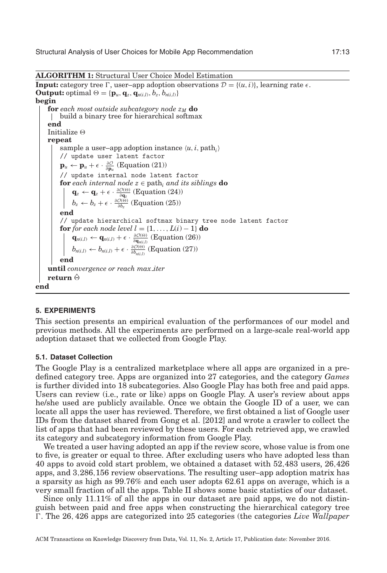**ALGORITHM 1:** Structural User Choice Model Estimation **Input:** category tree  $\Gamma$ , user-app adoption observations  $\mathcal{D} = \{(u, i)\}\)$ , learning rate  $\epsilon$ . **Output:** optimal  $\Theta = {\bf p}_u, {\bf q}_z, {\bf q}_{n(i,l)}, b_z, b_{n(i,l)}\}$ **begin for** each most outside subcategory node  $z_M$  **do** build a binary tree for hierarchical softmax **end** Initialize  $\Theta$ **repeat** sample a user–app adoption instance  $\langle u, i, \text{path}_i \rangle$ // update user latent factor  $\mathbf{p}_u \leftarrow \mathbf{p}_u + \epsilon \cdot \frac{\partial \mathcal{O}}{\partial \mathbf{p}_u}$  (Equation (21)) // update internal node latent factor **for** each internal node  $z \in$  path<sub>i</sub> and its siblings **do**  $\mathbf{q}_z \leftarrow \mathbf{q}_z + \epsilon \cdot \frac{\partial \mathcal{O}(\Theta)}{\partial \mathbf{q}_z}$  (Equation (24))  $b_z \leftarrow b_z + \epsilon \cdot \frac{\partial \mathcal{O}(\Theta)}{\partial b_z}$  (Equation (25)) **end** // update hierarchical softmax binary tree node latent factor **for** *for* each node level  $l = \{1, \ldots, L(i) - 1\}$  **do**  $\mathbf{q}_{n(i,l)} \leftarrow \mathbf{q}_{n(i,l)} + \epsilon \cdot \frac{\partial \mathcal{O}(\Theta)}{\partial \mathbf{q}_{n(i,l)}}$  (Equation (26))  $b_{n(i,l)} \leftarrow b_{n(i,l)} + \epsilon \cdot \frac{\partial \mathcal{O}(\Theta)}{\partial b_{n(i,l)}}$  (Equation (27)) **end until** *convergence or reach max iter* **return**  $\hat{\Theta}$ 

**end**

# **5. EXPERIMENTS**

This section presents an empirical evaluation of the performances of our model and previous methods. All the experiments are performed on a large-scale real-world app adoption dataset that we collected from Google Play.

# **5.1. Dataset Collection**

The Google Play is a centralized marketplace where all apps are organized in a predefined category tree. Apps are organized into 27 categories, and the category *Games* is further divided into 18 subcategories. Also Google Play has both free and paid apps. Users can review (i.e., rate or like) apps on Google Play. A user's review about apps he/she used are publicly available. Once we obtain the Google ID of a user, we can locate all apps the user has reviewed. Therefore, we first obtained a list of Google user IDs from the dataset shared from Gong et al. [\[2012\]](#page-20-3) and wrote a crawler to collect the list of apps that had been reviewed by these users. For each retrieved app, we crawled its category and subcategory information from Google Play.

We treated a user having adopted an app if the review score, whose value is from one to five, is greater or equal to three. After excluding users who have adopted less than 40 apps to avoid cold start problem, we obtained a dataset with 52,483 users, 26,426 apps, and 3,286,156 review observations. The resulting user–app adoption matrix has a sparsity as high as 99.76% and each user adopts 62.61 apps on average, which is a very small fraction of all the apps. Table [II](#page-13-1) shows some basic statistics of our dataset.

Since only 11.11% of all the apps in our dataset are paid apps, we do not distinguish between paid and free apps when constructing the hierarchical category tree -. The 26, 426 apps are categorized into 25 categories (the categories *Live Wallpaper*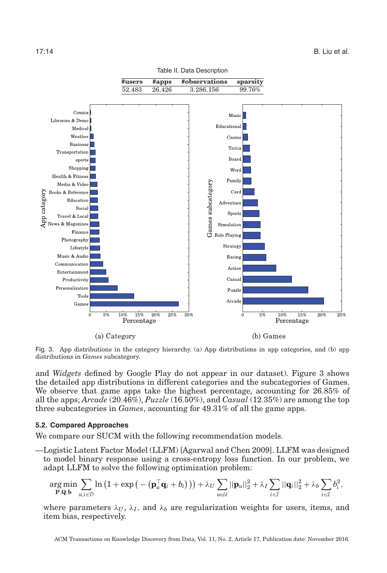<span id="page-13-2"></span><span id="page-13-1"></span>

Table II. Data Description

(a) Category

(b) Games

Fig. 3. App distributions in the category hierarchy. (a) App distributions in app categories, and (b) app distributions in *Games* subcategory.

and *Widgets* defined by Google Play do not appear in our dataset). Figure [3](#page-13-2) shows the detailed app distributions in different categories and the subcategories of Games. We observe that game apps take the highest percentage, accounting for 26.85% of all the apps; *Arcade* (20.46%), *Puzzle* (16.50%), and *Casual* (12.35%) are among the top three subcategories in *Games*, accounting for 49.31% of all the game apps.

#### **5.2. Compared Approaches**

We compare our SUCM with the following recommendation models.

—Logistic Latent Factor Model (LLFM) [Agarwal and Chen [2009\]](#page-20-0). LLFM was designed to model binary response using a cross-entropy loss function. In our problem, we adapt LLFM to solve the following optimization problem:

<span id="page-13-0"></span>
$$
\underset{\mathbf{P},\mathbf{Q},\mathbf{b}}{\arg\min} \sum_{u,i\in\mathcal{D}} \ln\left(1+\exp\left(-\left(\mathbf{p}_u^{\top}\mathbf{q}_i+b_i\right)\right)\right)+\lambda_U \sum_{u\in\mathcal{U}} ||\mathbf{p}_u||_2^2+\lambda_I \sum_{i\in\mathcal{I}} ||\mathbf{q}_i||_2^2+\lambda_b \sum_{i\in\mathcal{I}} b_i^2,
$$

where parameters  $\lambda_U$ ,  $\lambda_I$ , and  $\lambda_b$  are regularization weights for users, items, and item bias, respectively.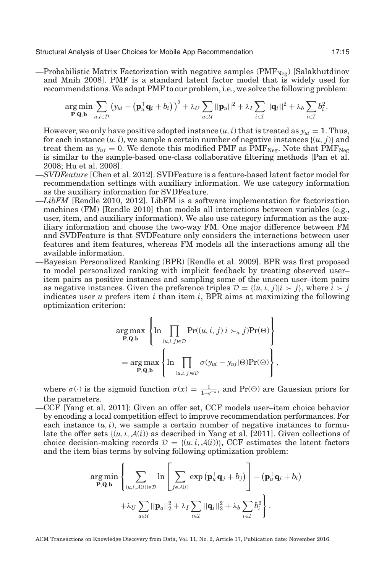—Probabilistic Matrix Factorization with negative samples  $(PMF_{Neg})$  [Salakhutdinov and Mnih [2008\]](#page-21-3). PMF is a standard latent factor model that is widely used for recommendations. We adapt PMF to our problem, i.e., we solve the following problem:

$$
\underset{\mathbf{P},\mathbf{Q},\mathbf{b}}{\arg\min} \sum_{u,i\in\mathcal{D}}\left(y_{ui}-\left(\mathbf{p}_{u}^{\top}\mathbf{q}_{i}+b_{i}\right)\right)^{2}+\lambda_{U}\sum_{u\in\mathcal{U}}||\mathbf{p}_{u}||^{2}+\lambda_{I}\sum_{i\in\mathcal{I}}||\mathbf{q}_{i}||^{2}+\lambda_{b}\sum_{i\in\mathcal{I}}b_{i}^{2}.
$$

However, we only have positive adopted instance  $(u, i)$  that is treated as  $y_{ui} = 1$ . Thus, for each instance  $(u, i)$ , we sample a certain number of negative instances  $\{(u, j)\}$  and treat them as  $y_{uj} = 0$ . We denote this modified PMF as  $\text{PMF}_{\text{Neg}}$ . Note that  $\text{PMF}_{\text{Neg}}$ is similar to the sample-based one-class collaborative filtering methods [Pan et al. [2008;](#page-21-11) Hu et al. [2008\]](#page-20-4).

- —*SVDFeature* [Chen et al. [2012\]](#page-20-1). SVDFeature is a feature-based latent factor model for recommendation settings with auxiliary information. We use category information as the auxiliary information for SVDFeature.
- —*LibFM* [Rendle [2010,](#page-21-5) [2012\]](#page-21-6). LibFM is a software implementation for factorization machines (FM) [Rendle [2010\]](#page-21-5) that models all interactions between variables (e.g., user, item, and auxiliary information). We also use category information as the auxiliary information and choose the two-way FM. One major difference between FM and SVDFeature is that SVDFeature only considers the interactions between user features and item features, whereas FM models all the interactions among all the available information.
- —Bayesian Personalized Ranking (BPR) [Rendle et al. [2009\]](#page-21-12). BPR was first proposed to model personalized ranking with implicit feedback by treating observed user– item pairs as positive instances and sampling some of the unseen user–item pairs as negative instances. Given the preference triples  $\mathcal{D} = \{(u, i, j)|i \succ j\}$ , where  $i \succ j$ indicates user  $u$  prefers item  $i$  than item  $i$ , BPR aims at maximizing the following optimization criterion:

$$
\arg \max_{\mathbf{P},\mathbf{Q},\mathbf{b}} \left\{ \ln \prod_{(u,i,j)\in\mathcal{D}} \Pr((u,i,j)|i \succ_u j) \Pr(\Theta) \right\} \n= \arg \max_{\mathbf{P},\mathbf{Q},\mathbf{b}} \left\{ \ln \prod_{(u,i,j)\in\mathcal{D}} \sigma(y_{ui} - y_{uj}|\Theta) \Pr(\Theta) \right\},
$$

where  $\sigma(\cdot)$  is the sigmoid function  $\sigma(x) = \frac{1}{1+e^{-x}}$ , and Pr( $\Theta$ ) are Gaussian priors for the parameters.

—CCF [Yang et al. [2011\]](#page-22-0): Given an offer set, CCF models user–item choice behavior by encoding a local competition effect to improve recommendation performances. For each instance  $(u, i)$ , we sample a certain number of negative instances to formulate the offer sets  $\{(u, i, \mathcal{A}(i))\}$  as described in Yang et al. [\[2011\]](#page-22-0). Given collections of choice decision-making records  $\mathcal{D} = \{(u, i, \mathcal{A}(i))\}\)$ , CCF estimates the latent factors and the item bias terms by solving following optimization problem:

$$
\arg\min_{\mathbf{P},\mathbf{Q},\mathbf{b}} \left\{ \sum_{(u,i,\mathcal{A}(i))\in\mathcal{D}} \ln \left[ \sum_{j\in\mathcal{A}(i)} \exp \left( \mathbf{p}_u^{\top} \mathbf{q}_j + b_j \right) \right] - \left( \mathbf{p}_u^{\top} \mathbf{q}_i + b_i \right) \right\} + \lambda_U \sum_{u\in\mathcal{U}} ||\mathbf{p}_u||_2^2 + \lambda_I \sum_{i\in\mathcal{I}} ||\mathbf{q}_i||_2^2 + \lambda_b \sum_{i\in\mathcal{I}} b_i^2 \right\}.
$$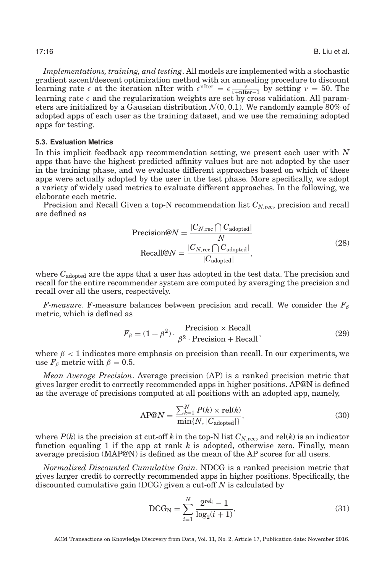*Implementations, training, and testing*. All models are implemented with a stochastic gradient ascent/descent optimization method with an annealing procedure to discount Learning rate  $\epsilon$  at the iteration nIter with  $\epsilon^{nIter} = \epsilon \frac{v}{v+nIter-1}$  by setting  $v = 50$ . The learning rate  $\epsilon$  and the regularization weights are set by cross validation. All parameters are initialized by a Gaussian distribution  $\mathcal{N}(0, 0.1)$ . We randomly sample 80% of adopted apps of each user as the training dataset, and we use the remaining adopted apps for testing.

# **5.3. Evaluation Metrics**

In this implicit feedback app recommendation setting, we present each user with *N* apps that have the highest predicted affinity values but are not adopted by the user in the training phase, and we evaluate different approaches based on which of these apps were actually adopted by the user in the test phase. More specifically, we adopt a variety of widely used metrics to evaluate different approaches. In the following, we elaborate each metric.

Precision and Recall Given a top-N recommendation list  $C_{N,\text{rec}}$ , precision and recall are defined as

$$
Precision@N = \frac{|C_{N, \text{rec}} \cap C_{adopted}|}{N}
$$
  
\n
$$
Recall@N = \frac{|C_{N, \text{rec}} \cap C_{adopted}|}{|C_{adopted}|},
$$
\n(28)

where  $C_{\text{adopted}}$  are the apps that a user has adopted in the test data. The precision and recall for the entire recommender system are computed by averaging the precision and recall over all the users, respectively.

*F-measure*. F-measure balances between precision and recall. We consider the  $F_\beta$ metric, which is defined as

$$
F_{\beta} = (1 + \beta^2) \cdot \frac{\text{Precision} \times \text{Recall}}{\beta^2 \cdot \text{Precision} + \text{Recall}},\tag{29}
$$

where  $\beta$  < 1 indicates more emphasis on precision than recall. In our experiments, we use  $F_\beta$  metric with  $\beta = 0.5$ .

*Mean Average Precision*. Average precision (AP) is a ranked precision metric that gives larger credit to correctly recommended apps in higher positions. AP@N is defined as the average of precisions computed at all positions with an adopted app, namely,

$$
AP@N = \frac{\sum_{k=1}^{N} P(k) \times rel(k)}{\min\{N, |C_{\text{adopted}}|\}},
$$
\n(30)

where  $P(k)$  is the precision at cut-off k in the top-N list  $C_{N,\text{rec}}$ , and rel(k) is an indicator function equaling 1 if the app at rank *k* is adopted, otherwise zero. Finally, mean average precision (MAP@N) is defined as the mean of the AP scores for all users.

*Normalized Discounted Cumulative Gain*. NDCG is a ranked precision metric that gives larger credit to correctly recommended apps in higher positions. Specifically, the discounted cumulative gain (DCG) given a cut-off *N* is calculated by

$$
DCG_N = \sum_{i=1}^{N} \frac{2^{\text{rel}_i} - 1}{\log_2(i+1)},
$$
\n(31)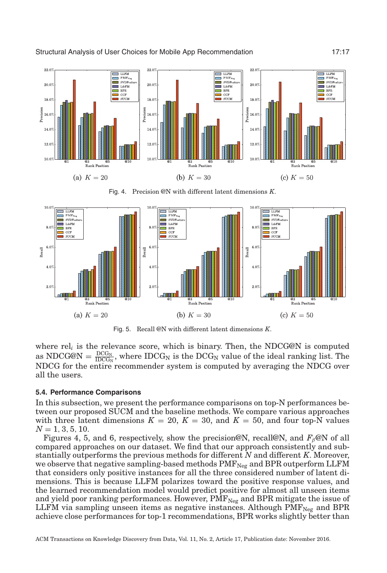

<span id="page-16-1"></span>



<span id="page-16-2"></span>

<span id="page-16-0"></span>Fig. 5. Recall @N with different latent dimensions *K*.

where  $rel_i$  is the relevance score, which is binary. Then, the NDCG@N is computed as  $NDCG@N =$  $\frac{\text{DCG}_{N}}{\text{IDCG}_{N}}$ , where IDCG<sub>N</sub> is the DCG<sub>N</sub> value of the ideal ranking list. The NDCG for the entire recommender system is computed by averaging the NDCG over all the users.

# **5.4. Performance Comparisons**

In this subsection, we present the performance comparisons on top-N performances between our proposed SUCM and the baseline methods. We compare various approaches with three latent dimensions  $K = 20, K = 30$ , and  $K = 50$ , and four top-N values  $N = 1, 3, 5, 10.$ 

Figures [4,](#page-16-1) [5,](#page-16-2) and [6,](#page-17-0) respectively, show the precision@N, recall@N, and  $F_\beta$ @N of all compared approaches on our dataset. We find that our approach consistently and substantially outperforms the previous methods for different *N* and different *K*. Moreover, we observe that negative sampling-based methods  $PMF_{Neg}$  and BPR outperform LLFM that considers only positive instances for all the three considered number of latent dimensions. This is because LLFM polarizes toward the positive response values, and the learned recommendation model would predict positive for almost all unseen items and yield poor ranking performances. However,  $PMF_{Neg}$  and BPR mitigate the issue of LLFM via sampling unseen items as negative instances. Although  $PMF_{Neg}$  and BPR achieve close performances for top-1 recommendations, BPR works slightly better than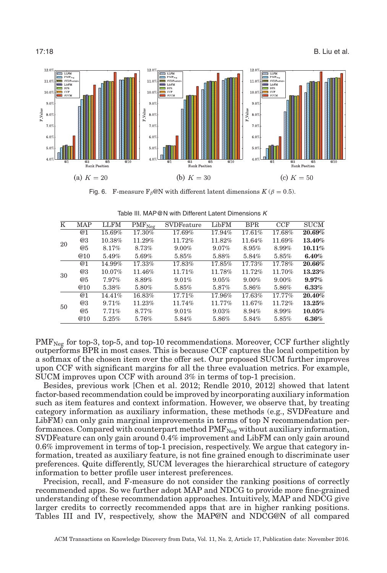<span id="page-17-0"></span>

Fig. 6. F-measure  $F_\beta$ @N with different latent dimensions *K* ( $\beta = 0.5$ ).

<span id="page-17-1"></span>

| K  | <b>MAP</b> | LLFM   | $\rm \overline{PMF}_{Neg}$ | <b>SVDFeature</b> | LibFM  | <b>BPR</b> | CCF    | <b>SUCM</b> |
|----|------------|--------|----------------------------|-------------------|--------|------------|--------|-------------|
| 20 | @1         | 15.69% | 17.30%                     | 17.69%            | 17.94% | 17.61%     | 17.68% | 20.69%      |
|    | @3         | 10.38% | 11.29%                     | 11.72%            | 11.82% | 11.64%     | 11.69% | 13.40%      |
|    | @5         | 8.17%  | 8.73%                      | 9.00%             | 9.07%  | 8.95%      | 8.99%  | 10.11%      |
|    | @10        | 5.49%  | 5.69%                      | 5.85%             | 5.88%  | 5.84%      | 5.85%  | 6.40%       |
| 30 | @1         | 14.99% | 17.33%                     | 17.83%            | 17.85% | 17.73%     | 17.78% | 20.66%      |
|    | @3         | 10.07% | 11.46%                     | 11.71%            | 11.78% | 11.72%     | 11.70% | 13.23%      |
|    | @5         | 7.97%  | 8.89%                      | 9.01%             | 9.05%  | 9.00%      | 9.00%  | 9.97%       |
|    | @10        | 5.38%  | 5.80%                      | 5.85%             | 5.87%  | 5.86%      | 5.86%  | $6.33\%$    |
| 50 | @1         | 14.41% | 16.83%                     | 17.71%            | 17.96% | 17.63%     | 17.77% | 20.40%      |
|    | @3         | 9.71%  | 11.23%                     | 11.74%            | 11.77% | 11.67%     | 11.72% | 13.25%      |
|    | @5         | 7.71%  | 8.77%                      | 9.01%             | 9.03%  | 8.94%      | 8.99%  | 10.05%      |
|    | @10        | 5.25%  | 5.76%                      | 5.84%             | 5.86%  | 5.84%      | 5.85%  | 6.36%       |

Table III. MAP@N with Different Latent Dimensions  $K$ 

 $\text{PMF}_{\text{Neg}}$  for top-3, top-5, and top-10 recommendations. Moreover, CCF further slightly outperforms BPR in most cases. This is because CCF captures the local competition by a softmax of the chosen item over the offer set. Our proposed SUCM further improves upon CCF with significant margins for all the three evaluation metrics. For example, SUCM improves upon CCF with around 3% in terms of top-1 precision.

Besides, previous work [Chen et al. [2012;](#page-20-1) Rendle [2010,](#page-21-5) [2012\]](#page-21-6) showed that latent factor-based recommendation could be improved by incorporating auxiliary information such as item features and context information. However, we observe that, by treating category information as auxiliary information, these methods (e.g., SVDFeature and LibFM) can only gain marginal improvements in terms of top N recommendation performances. Compared with counterpart method  $\text{PMF}_{\text{Neg}}$  without auxiliary information, SVDFeature can only gain around 0.4% improvement and LibFM can only gain around 0.6% improvement in terms of top-1 precision, respectively. We argue that category information, treated as auxiliary feature, is not fine grained enough to discriminate user preferences. Quite differently, SUCM leverages the hierarchical structure of category information to better profile user interest preferences.

Precision, recall, and F-measure do not consider the ranking positions of correctly recommended apps. So we further adopt MAP and NDCG to provide more fine-grained understanding of these recommendation approaches. Intuitively, MAP and NDCG give larger credits to correctly recommended apps that are in higher ranking positions. Tables [III](#page-17-1) and [IV,](#page-18-0) respectively, show the MAP@N and NDCG@N of all compared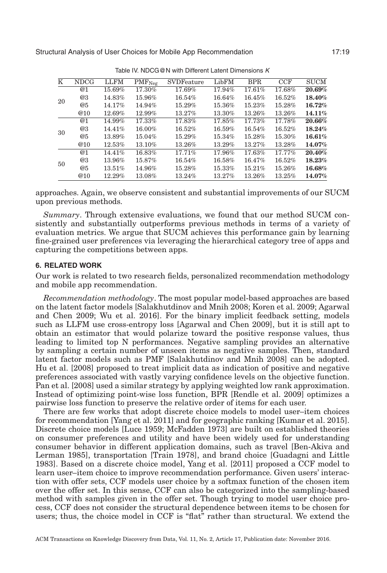<span id="page-18-0"></span>

| K  | <b>NDCG</b> | LLFM   | $\overline{\mathrm{PMF}}_{\mathrm{Neg}}$ | <b>SVDFeature</b> | LibFM  | <b>BPR</b> | CCF    | <b>SUCM</b> |
|----|-------------|--------|------------------------------------------|-------------------|--------|------------|--------|-------------|
| 20 | @1          | 15.69% | 17.30%                                   | $17.69\%$         | 17.94% | 17.61%     | 17.68% | 20.69%      |
|    | @3          | 14.83% | 15.96%                                   | 16.54%            | 16.64% | 16.45%     | 16.52% | 18.40%      |
|    | @5          | 14.17% | 14.94%                                   | 15.29%            | 15.36% | 15.23%     | 15.28% | 16.72%      |
|    | <b>@10</b>  | 12.69% | 12.99%                                   | 13.27%            | 13.30% | 13.26%     | 13.26% | 14.11%      |
| 30 | @1          | 14.99% | 17.33%                                   | 17.83%            | 17.85% | 17.73%     | 17.78% | 20.66%      |
|    | @3          | 14.41% | 16.00%                                   | 16.52%            | 16.59% | 16.54%     | 16.52% | 18.24%      |
|    | @5          | 13.89% | 15.04%                                   | 15.29%            | 15.34% | 15.28%     | 15.30% | 16.61%      |
|    | @10         | 12.53% | 13.10%                                   | 13.26%            | 13.29% | 13.27%     | 13.28% | 14.07%      |
|    | @1          | 14.41% | 16.83%                                   | 17.71%            | 17.96% | 17.63%     | 17.77% | 20.40%      |
| 50 | @3          | 13.96% | 15.87%                                   | 16.54%            | 16.58% | 16.47%     | 16.52% | 18.23%      |
|    | @5          | 13.51% | 14.96%                                   | 15.28%            | 15.33% | 15.21%     | 15.26% | 16.68%      |
|    | @10         | 12.29% | 13.08%                                   | 13.24%            | 13.27% | 13.26%     | 13.25% | 14.07%      |

Table IV. NDCG@N with Different Latent Dimensions K

approaches. Again, we observe consistent and substantial improvements of our SUCM upon previous methods.

*Summary*. Through extensive evaluations, we found that our method SUCM consistently and substantially outperforms previous methods in terms of a variety of evaluation metrics. We argue that SUCM achieves this performance gain by learning fine-grained user preferences via leveraging the hierarchical category tree of apps and capturing the competitions between apps.

#### **6. RELATED WORK**

Our work is related to two research fields, personalized recommendation methodology and mobile app recommendation.

*Recommendation methodology*. The most popular model-based approaches are based on the latent factor models [Salakhutdinov and Mnih [2008;](#page-21-3) Koren et al. [2009;](#page-21-7) Agarwal and Chen [2009;](#page-20-0) Wu et al. [2016\]](#page-22-1). For the binary implicit feedback setting, models such as LLFM use cross-entropy loss [Agarwal and Chen [2009\]](#page-20-0), but it is still apt to obtain an estimator that would polarize toward the positive response values, thus leading to limited top N performances. Negative sampling provides an alternative by sampling a certain number of unseen items as negative samples. Then, standard latent factor models such as PMF [Salakhutdinov and Mnih [2008\]](#page-21-3) can be adopted. Hu et al. [\[2008\]](#page-20-4) proposed to treat implicit data as indication of positive and negative preferences associated with vastly varying confidence levels on the objective function. Pan et al. [\[2008\]](#page-21-11) used a similar strategy by applying weighted low rank approximation. Instead of optimizing point-wise loss function, BPR [Rendle et al. [2009\]](#page-21-12) optimizes a pairwise loss function to preserve the relative order of items for each user.

There are few works that adopt discrete choice models to model user–item choices for recommendation [Yang et al. [2011\]](#page-22-0) and for geographic ranking [Kumar et al. [2015\]](#page-21-13). Discrete choice models [Luce [1959;](#page-21-0) McFadden [1973\]](#page-21-1) are built on established theories on consumer preferences and utility and have been widely used for understanding consumer behavior in different application domains, such as travel [Ben-Akiva and Lerman [1985\]](#page-20-5), transportation [Train [1978\]](#page-22-2), and brand choice [Guadagni and Little [1983\]](#page-20-6). Based on a discrete choice model, Yang et al. [\[2011\]](#page-22-0) proposed a CCF model to learn user–item choice to improve recommendation performance. Given users' interaction with offer sets, CCF models user choice by a softmax function of the chosen item over the offer set. In this sense, CCF can also be categorized into the sampling-based method with samples given in the offer set. Though trying to model user choice process, CCF does not consider the structural dependence between items to be chosen for users; thus, the choice model in CCF is "flat" rather than structural. We extend the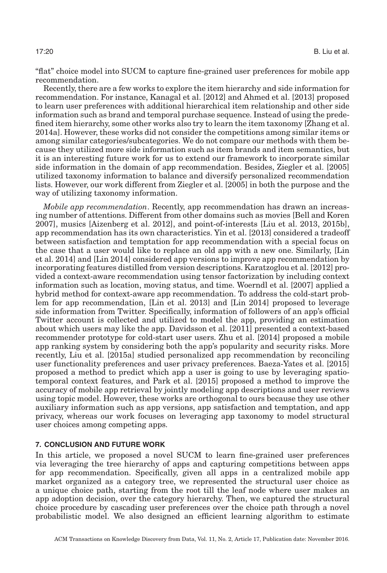"flat" choice model into SUCM to capture fine-grained user preferences for mobile app recommendation.

Recently, there are a few works to explore the item hierarchy and side information for recommendation. For instance, Kanagal et al. [\[2012\]](#page-21-14) and Ahmed et al. [\[2013\]](#page-20-7) proposed to learn user preferences with additional hierarchical item relationship and other side information such as brand and temporal purchase sequence. Instead of using the predefined item hierarchy, some other works also try to learn the item taxonomy [Zhang et al. [2014a\]](#page-22-3). However, these works did not consider the competitions among similar items or among similar categories/subcategories. We do not compare our methods with them because they utilized more side information such as item brands and item semantics, but it is an interesting future work for us to extend our framework to incorporate similar side information in the domain of app recommendation. Besides, Ziegler et al. [\[2005\]](#page-22-4) utilized taxonomy information to balance and diversify personalized recommendation lists. However, our work different from Ziegler et al. [\[2005\]](#page-22-4) in both the purpose and the way of utilizing taxonomy information.

*Mobile app recommendation*. Recently, app recommendation has drawn an increasing number of attentions. Different from other domains such as movies [Bell and Koren [2007\]](#page-20-8), musics [Aizenberg et al. [2012\]](#page-20-9), and point-of-interests [Liu et al. [2013,](#page-21-15) [2015b\]](#page-21-16), app recommendation has its own characteristics. Yin et al. [\[2013\]](#page-22-5) considered a tradeoff between satisfaction and temptation for app recommendation with a special focus on the case that a user would like to replace an old app with a new one. Similarly, [Lin et al. [2014\]](#page-21-17) and [Lin [2014\]](#page-21-18) considered app versions to improve app recommendation by incorporating features distilled from version descriptions. Karatzoglou et al. [\[2012\]](#page-21-19) provided a context-aware recommendation using tensor factorization by including context information such as location, moving status, and time. Woerndl et al. [\[2007\]](#page-22-6) applied a hybrid method for context-aware app recommendation. To address the cold-start problem for app recommendation, [Lin et al. [2013\]](#page-21-20) and [Lin [2014\]](#page-21-18) proposed to leverage side information from Twitter. Specifically, information of followers of an app's official Twitter account is collected and utilized to model the app, providing an estimation about which users may like the app. Davidsson et al. [\[2011\]](#page-20-10) presented a context-based recommender prototype for cold-start user users. Zhu et al. [\[2014\]](#page-22-7) proposed a mobile app ranking system by considering both the app's popularity and security risks. More recently, Liu et al. [\[2015a\]](#page-21-21) studied personalized app recommendation by reconciling user functionality preferences and user privacy preferences. Baeza-Yates et al. [\[2015\]](#page-20-11) proposed a method to predict which app a user is going to use by leveraging spatiotemporal context features, and Park et al. [\[2015\]](#page-21-22) proposed a method to improve the accuracy of mobile app retrieval by jointly modeling app descriptions and user reviews using topic model. However, these works are orthogonal to ours because they use other auxiliary information such as app versions, app satisfaction and temptation, and app privacy, whereas our work focuses on leveraging app taxonomy to model structural user choices among competing apps.

# **7. CONCLUSION AND FUTURE WORK**

In this article, we proposed a novel SUCM to learn fine-grained user preferences via leveraging the tree hierarchy of apps and capturing competitions between apps for app recommendation. Specifically, given all apps in a centralized mobile app market organized as a category tree, we represented the structural user choice as a unique choice path, starting from the root till the leaf node where user makes an app adoption decision, over the category hierarchy. Then, we captured the structural choice procedure by cascading user preferences over the choice path through a novel probabilistic model. We also designed an efficient learning algorithm to estimate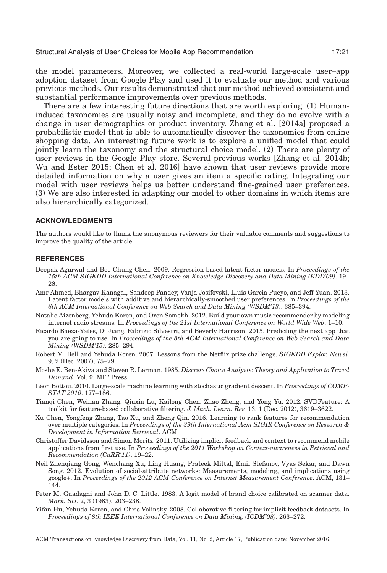the model parameters. Moreover, we collected a real-world large-scale user–app adoption dataset from Google Play and used it to evaluate our method and various previous methods. Our results demonstrated that our method achieved consistent and substantial performance improvements over previous methods.

There are a few interesting future directions that are worth exploring. (1) Humaninduced taxonomies are usually noisy and incomplete, and they do no evolve with a change in user demographics or product inventory. Zhang et al. [\[2014a\]](#page-22-3) proposed a probabilistic model that is able to automatically discover the taxonomies from online shopping data. An interesting future work is to explore a unified model that could jointly learn the taxonomy and the structural choice model. (2) There are plenty of user reviews in the Google Play store. Several previous works [Zhang et al. [2014b;](#page-22-8) Wu and Ester [2015;](#page-22-9) Chen et al. [2016\]](#page-20-12) have shown that user reviews provide more detailed information on why a user gives an item a specific rating. Integrating our model with user reviews helps us better understand fine-grained user preferences. (3) We are also interested in adapting our model to other domains in which items are also hierarchically categorized.

#### **ACKNOWLEDGMENTS**

The authors would like to thank the anonymous reviewers for their valuable comments and suggestions to improve the quality of the article.

#### **REFERENCES**

- <span id="page-20-0"></span>Deepak Agarwal and Bee-Chung Chen. 2009. Regression-based latent factor models. In *Proceedings of the 15th ACM SIGKDD International Conference on Knowledge Discovery and Data Mining (KDD'09)*. 19– 28.
- <span id="page-20-7"></span>Amr Ahmed, Bhargav Kanagal, Sandeep Pandey, Vanja Josifovski, Lluis Garcia Pueyo, and Jeff Yuan. 2013. Latent factor models with additive and hierarchically-smoothed user preferences. In *Proceedings of the 6th ACM International Conference on Web Search and Data Mining (WSDM'13)*. 385–394.
- <span id="page-20-9"></span>Natalie Aizenberg, Yehuda Koren, and Oren Somekh. 2012. Build your own music recommender by modeling internet radio streams. In *Proceedings of the 21st International Conference on World Wide Web*. 1–10.
- <span id="page-20-11"></span>Ricardo Baeza-Yates, Di Jiang, Fabrizio Silvestri, and Beverly Harrison. 2015. Predicting the next app that you are going to use. In *Proceedings of the 8th ACM International Conference on Web Search and Data Mining (WSDM'15)*. 285–294.
- <span id="page-20-8"></span>Robert M. Bell and Yehuda Koren. 2007. Lessons from the Netflix prize challenge. *SIGKDD Explor. Newsl.* 9, 2 (Dec. 2007), 75–79.
- <span id="page-20-5"></span>Moshe E. Ben-Akiva and Steven R. Lerman. 1985. *Discrete Choice Analysis: Theory and Application to Travel Demand*. Vol. 9. MIT Press.
- <span id="page-20-2"></span>Léon Bottou. 2010. Large-scale machine learning with stochastic gradient descent. In *Proceedings of COMP-STAT 2010*. 177–186.
- <span id="page-20-1"></span>Tianqi Chen, Weinan Zhang, Qiuxia Lu, Kailong Chen, Zhao Zheng, and Yong Yu. 2012. SVDFeature: A toolkit for feature-based collaborative filtering. *J. Mach. Learn. Res.* 13, 1 (Dec. 2012), 3619–3622.
- <span id="page-20-12"></span>Xu Chen, Yongfeng Zhang, Tao Xu, and Zheng Qin. 2016. Learning to rank features for recommendation over multiple categories. In *Proceedings of the 39th International Acm SIGIR Conference on Research & Development in Information Retrieval*. ACM.
- <span id="page-20-10"></span>Christoffer Davidsson and Simon Moritz. 2011. Utilizing implicit feedback and context to recommend mobile applications from first use. In *Proceedings of the 2011 Workshop on Context-awareness in Retrieval and Recommendation (CaRR'11)*. 19–22.
- <span id="page-20-3"></span>Neil Zhenqiang Gong, Wenchang Xu, Ling Huang, Prateek Mittal, Emil Stefanov, Vyas Sekar, and Dawn Song. 2012. Evolution of social-attribute networks: Measurements, modeling, and implications using google+. In *Proceedings of the 2012 ACM Conference on Internet Measurement Conference*. ACM, 131– 144.
- <span id="page-20-6"></span>Peter M. Guadagni and John D. C. Little. 1983. A logit model of brand choice calibrated on scanner data. *Mark. Sci.* 2, 3 (1983), 203–238.
- <span id="page-20-4"></span>Yifan Hu, Yehuda Koren, and Chris Volinsky. 2008. Collaborative filtering for implicit feedback datasets. In *Proceedings of 8th IEEE International Conference on Data Mining, (ICDM'08)*. 263–272.

ACM Transactions on Knowledge Discovery from Data, Vol. 11, No. 2, Article 17, Publication date: November 2016.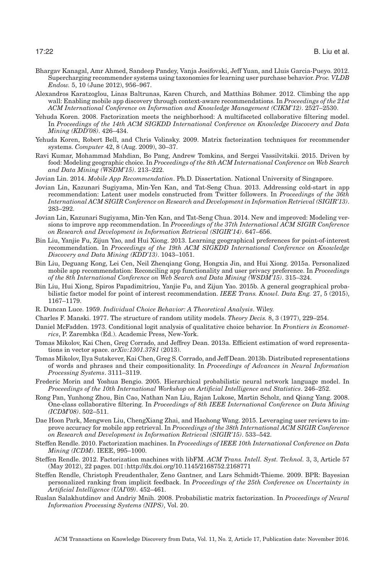- <span id="page-21-14"></span>Bhargav Kanagal, Amr Ahmed, Sandeep Pandey, Vanja Josifovski, Jeff Yuan, and Lluis Garcia-Pueyo. 2012. Supercharging recommender systems using taxonomies for learning user purchase behavior. *Proc. VLDB Endow.* 5, 10 (June 2012), 956–967.
- <span id="page-21-19"></span>Alexandros Karatzoglou, Linas Baltrunas, Karen Church, and Matthias Böhmer. 2012. Climbing the app wall: Enabling mobile app discovery through context-aware recommendations. In *Proceedings of the 21st ACM International Conference on Information and Knowledge Management (CIKM'12)*. 2527–2530.
- <span id="page-21-4"></span>Yehuda Koren. 2008. Factorization meets the neighborhood: A multifaceted collaborative filtering model. In *Proceedings of the 14th ACM SIGKDD International Conference on Knowledge Discovery and Data Mining (KDD'08)*. 426–434.
- <span id="page-21-7"></span>Yehuda Koren, Robert Bell, and Chris Volinsky. 2009. Matrix factorization techniques for recommender systems. *Computer* 42, 8 (Aug. 2009), 30–37.
- <span id="page-21-13"></span>Ravi Kumar, Mohammad Mahdian, Bo Pang, Andrew Tomkins, and Sergei Vassilvitskii. 2015. Driven by food: Modeling geographic choice. In *Proceedings of the 8th ACM International Conference on Web Search and Data Mining (WSDM'15)*. 213–222.
- <span id="page-21-18"></span>Jovian Lin. 2014. *Mobile App Recommendation*. Ph.D. Dissertation. National University of Singapore.
- <span id="page-21-20"></span>Jovian Lin, Kazunari Sugiyama, Min-Yen Kan, and Tat-Seng Chua. 2013. Addressing cold-start in app recommendation: Latent user models constructed from Twitter followers. In *Proceedings of the 36th International ACM SIGIR Conference on Research and Development in Information Retrieval (SIGIR'13)*. 283–292.
- <span id="page-21-17"></span>Jovian Lin, Kazunari Sugiyama, Min-Yen Kan, and Tat-Seng Chua. 2014. New and improved: Modeling versions to improve app recommendation. In *Proceedings of the 37th International ACM SIGIR Conference on Research and Development in Information Retrieval (SIGIR'14)*. 647–656.
- <span id="page-21-15"></span>Bin Liu, Yanjie Fu, Zijun Yao, and Hui Xiong. 2013. Learning geographical preferences for point-of-interest recommendation. In *Proceedings of the 19th ACM SIGKDD International Conference on Knowledge Discovery and Data Mining (KDD'13)*. 1043–1051.
- <span id="page-21-21"></span>Bin Liu, Deguang Kong, Lei Cen, Neil Zhenqiang Gong, Hongxia Jin, and Hui Xiong. 2015a. Personalized mobile app recommendation: Reconciling app functionality and user privacy preference. In *Proceedings of the 8th International Conference on Web Search and Data Mining (WSDM'15)*. 315–324.
- <span id="page-21-16"></span>Bin Liu, Hui Xiong, Spiros Papadimitriou, Yanjie Fu, and Zijun Yao. 2015b. A general geographical probabilistic factor model for point of interest recommendation. *IEEE Trans. Knowl. Data Eng.* 27, 5 (2015), 1167–1179.
- <span id="page-21-0"></span>R. Duncan Luce. 1959. *Individual Choice Behavior: A Theoretical Analysis*. Wiley.
- <span id="page-21-2"></span>Charles F. Manski. 1977. The structure of random utility models. *Theory Decis.* 8, 3 (1977), 229–254.
- <span id="page-21-1"></span>Daniel McFadden. 1973. Conditional logit analysis of qualitative choice behavior. In *Frontiers in Econometrics*, P. Zarembka (Ed.). Academic Press, New-York.
- <span id="page-21-9"></span>Tomas Mikolov, Kai Chen, Greg Corrado, and Jeffrey Dean. 2013a. Efficient estimation of word representations in vector space. *arXiv:1301.3781* (2013).
- <span id="page-21-10"></span>Tomas Mikolov, Ilya Sutskever, Kai Chen, Greg S. Corrado, and Jeff Dean. 2013b. Distributed representations of words and phrases and their compositionality. In *Proceedings of Advances in Neural Information Processing Systems*. 3111–3119.
- <span id="page-21-8"></span>Frederic Morin and Yoshua Bengio. 2005. Hierarchical probabilistic neural network language model. In *Proceedings of the 10th International Workshop on Artificial Intelligence and Statistics*. 246–252.
- <span id="page-21-11"></span>Rong Pan, Yunhong Zhou, Bin Cao, Nathan Nan Liu, Rajan Lukose, Martin Scholz, and Qiang Yang. 2008. One-class collaborative filtering. In *Proceedings of 8th IEEE International Conference on Data Mining (ICDM'08)*. 502–511.
- <span id="page-21-22"></span>Dae Hoon Park, Mengwen Liu, ChengXiang Zhai, and Haohong Wang. 2015. Leveraging user reviews to improve accuracy for mobile app retrieval. In *Proceedings of the 38th International ACM SIGIR Conference on Research and Development in Information Retrieval (SIGIR'15)*. 533–542.
- <span id="page-21-5"></span>Steffen Rendle. 2010. Factorization machines. In *Proceedings of IEEE 10th International Conference on Data Mining (ICDM)*. IEEE, 995–1000.
- <span id="page-21-6"></span>Steffen Rendle. 2012. Factorization machines with libFM. *ACM Trans. Intell. Syst. Technol.* 3, 3, Article 57 (May 2012), 22 pages. DOI:<http://dx.doi.org/10.1145/2168752.2168771>
- <span id="page-21-12"></span>Steffen Rendle, Christoph Freudenthaler, Zeno Gantner, and Lars Schmidt-Thieme. 2009. BPR: Bayesian personalized ranking from implicit feedback. In *Proceedings of the 25th Conference on Uncertainty in Artificial Intelligence (UAI'09)*. 452–461.
- <span id="page-21-3"></span>Ruslan Salakhutdinov and Andriy Mnih. 2008. Probabilistic matrix factorization. In *Proceedings of Neural Information Processing Systems (NIPS)*, Vol. 20.